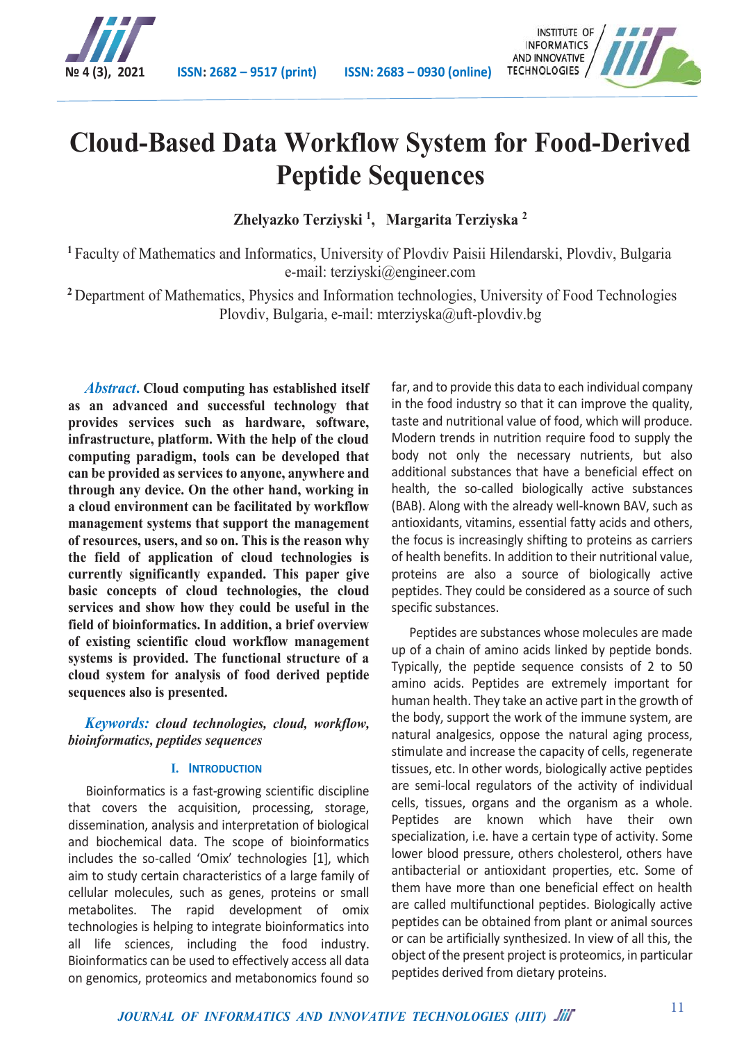



# **Cloud-Based Data Workflow System for Food-Derived Peptide Sequences**

**Zhelyazko Terziyski 1, Margarita Terziyska <sup>2</sup>**

**<sup>1</sup>** Faculty of Mathematics and Informatics, University of Plovdiv Paisii Hilendarski, Plovdiv, Bulgaria e-mail: terziyski@engineer.com

**<sup>2</sup>** Department of Mathematics, Physics and Information technologies, University of Food Technologies Plovdiv, Bulgaria, e-mail: mterziyska@uft-plovdiv.bg

*Abstract***. Cloud computing has established itself as an advanced and successful technology that provides services such as hardware, software, infrastructure, platform. With the help of the cloud computing paradigm, tools can be developed that can be provided as services to anyone, anywhere and through any device. On the other hand, working in a cloud environment can be facilitated by workflow management systems that support the management of resources, users, and so on. This is the reason why the field of application of cloud technologies is currently significantly expanded. This paper give basic concepts of cloud technologies, the cloud services and show how they could be useful in the field of bioinformatics. In addition, a brief overview of existing scientific cloud workflow management systems is provided. The functional structure of a cloud system for analysis of food derived peptide sequences also is presented.**

*Keywords: cloud technologies, cloud, workflow, bioinformatics, peptides sequences*

## **I. INTRODUCTION**

Bioinformatics is a fast-growing scientific discipline that covers the acquisition, processing, storage, dissemination, analysis and interpretation of biological and biochemical data. The scope of bioinformatics includes the so-called 'Omix' technologies [1], which aim to study certain characteristics of a large family of cellular molecules, such as genes, proteins or small metabolites. The rapid development of omix technologies is helping to integrate bioinformatics into all life sciences, including the food industry. Bioinformatics can be used to effectively access all data on genomics, proteomics and metabonomics found so

far, and to provide this data to each individual company in the food industry so that it can improve the quality, taste and nutritional value of food, which will produce. Modern trends in nutrition require food to supply the body not only the necessary nutrients, but also additional substances that have a beneficial effect on health, the so-called biologically active substances (BAB). Along with the already well-known BAV, such as antioxidants, vitamins, essential fatty acids and others, the focus is increasingly shifting to proteins as carriers of health benefits. In addition to their nutritional value, proteins are also a source of biologically active peptides. They could be considered as a source of such specific substances.

Peptides are substances whose molecules are made up of a chain of amino acids linked by peptide bonds. Typically, the peptide sequence consists of 2 to 50 amino acids. Peptides are extremely important for human health. They take an active part in the growth of the body, support the work of the immune system, are natural analgesics, oppose the natural aging process, stimulate and increase the capacity of cells, regenerate tissues, etc. In other words, biologically active peptides are semi-local regulators of the activity of individual cells, tissues, organs and the organism as a whole. Peptides are known which have their own specialization, i.e. have a certain type of activity. Some lower blood pressure, others cholesterol, others have antibacterial or antioxidant properties, etc. Some of them have more than one beneficial effect on health are called multifunctional peptides. Biologically active peptides can be obtained from plant or animal sources or can be artificially synthesized. In view of all this, the object of the present project is proteomics, in particular peptides derived from dietary proteins.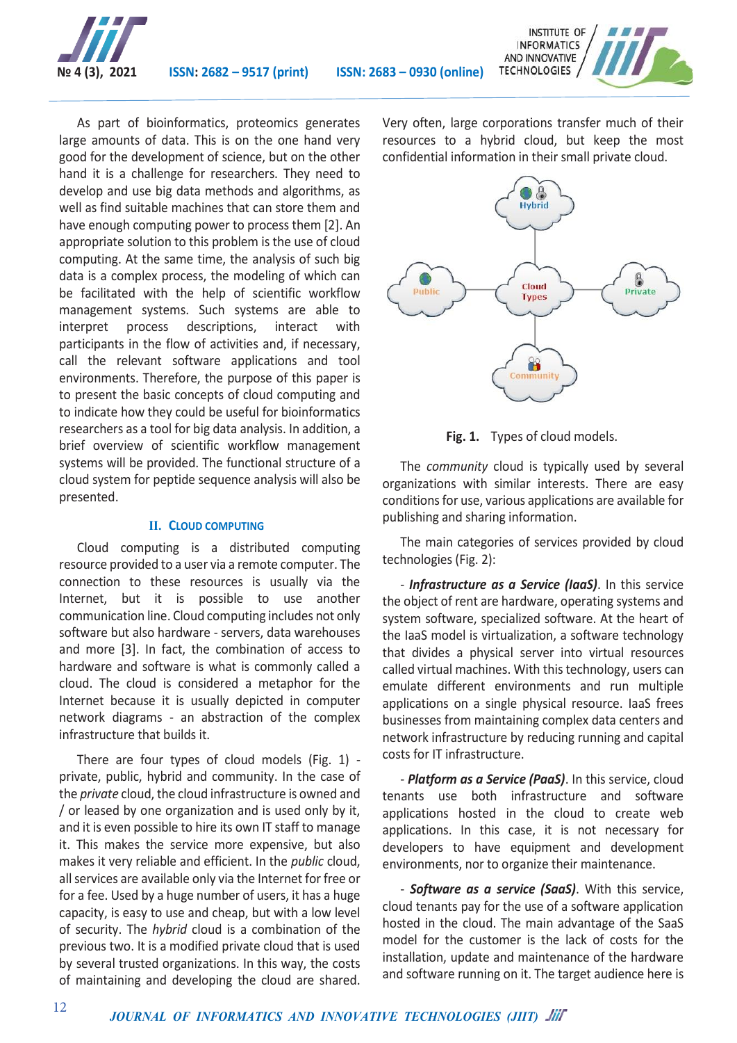



As part of bioinformatics, proteomics generates large amounts of data. This is on the one hand very good for the development of science, but on the other hand it is a challenge for researchers. They need to develop and use big data methods and algorithms, as well as find suitable machines that can store them and have enough computing power to process them [2]. An appropriate solution to this problem is the use of cloud computing. At the same time, the analysis of such big data is a complex process, the modeling of which can be facilitated with the help of scientific workflow management systems. Such systems are able to interpret process descriptions, interact with participants in the flow of activities and, if necessary, call the relevant software applications and tool environments. Therefore, the purpose of this paper is to present the basic concepts of cloud computing and to indicate how they could be useful for bioinformatics researchers as a tool for big data analysis. In addition, a brief overview of scientific workflow management systems will be provided. The functional structure of a cloud system for peptide sequence analysis will also be presented.

### **II. CLOUD COMPUTING**

Cloud computing is a distributed computing resource provided to a user via a remote computer. The connection to these resources is usually via the Internet, but it is possible to use another communication line. Cloud computing includes not only software but also hardware - servers, data warehouses and more [3]. In fact, the combination of access to hardware and software is what is commonly called a cloud. The cloud is considered a metaphor for the Internet because it is usually depicted in computer network diagrams - an abstraction of the complex infrastructure that builds it.

There are four types of cloud models (Fig. 1) private, public, hybrid and community. In the case of the *private* cloud, the cloud infrastructure is owned and / or leased by one organization and is used only by it, and it is even possible to hire its own IT staff to manage it. This makes the service more expensive, but also makes it very reliable and efficient. In the *public* cloud, all services are available only via the Internet for free or for a fee. Used by a huge number of users, it has a huge capacity, is easy to use and cheap, but with a low level of security. The *hybrid* cloud is a combination of the previous two. It is a modified private cloud that is used by several trusted organizations. In this way, the costs of maintaining and developing the cloud are shared.

Very often, large corporations transfer much of their resources to a hybrid cloud, but keep the most confidential information in their small private cloud.



**Fig. 1.** Types of cloud models.

The *community* cloud is typically used by several organizations with similar interests. There are easy conditions for use, various applications are available for publishing and sharing information.

The main categories of services provided by cloud technologies (Fig. 2):

- *Infrastructure as a Service (IaaS)*. In this service the object of rent are hardware, operating systems and system software, specialized software. At the heart of the IaaS model is virtualization, a software technology that divides a physical server into virtual resources called virtual machines. With this technology, users can emulate different environments and run multiple applications on a single physical resource. IaaS frees businesses from maintaining complex data centers and network infrastructure by reducing running and capital costs for IT infrastructure.

- *Platform as a Service (PaaS)*. In this service, cloud tenants use both infrastructure and software applications hosted in the cloud to create web applications. In this case, it is not necessary for developers to have equipment and development environments, nor to organize their maintenance.

- *Software as a service (SaaS)*. With this service, cloud tenants pay for the use of a software application hosted in the cloud. The main advantage of the SaaS model for the customer is the lack of costs for the installation, update and maintenance of the hardware and software running on it. The target audience here is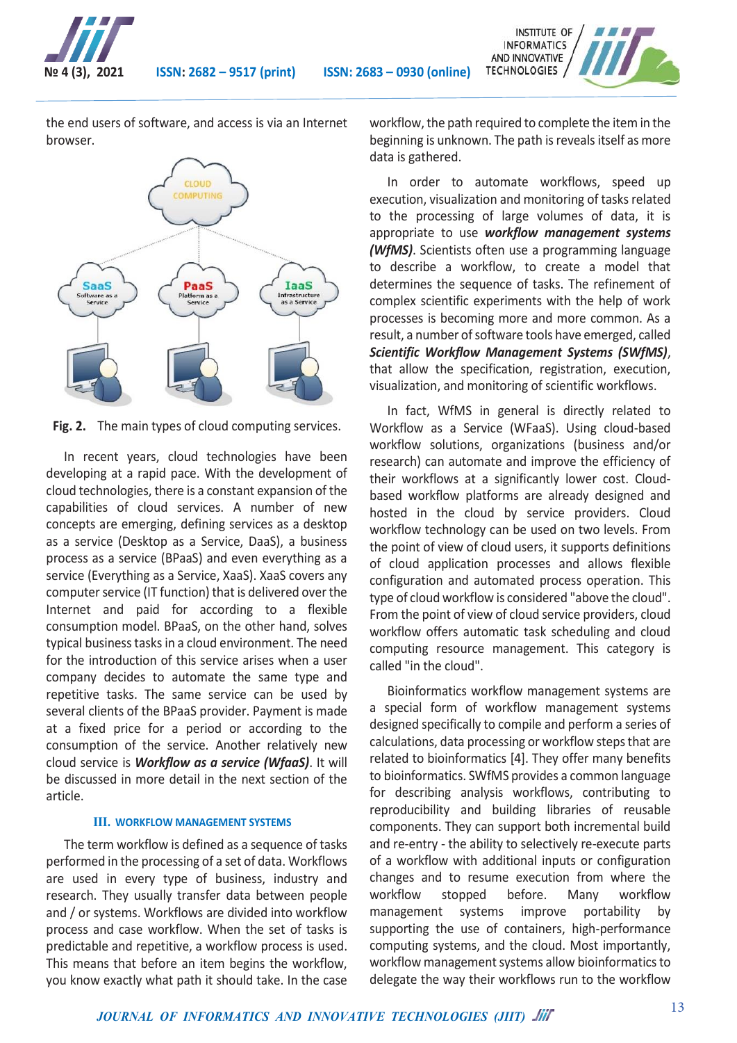

the end users of software, and access is via an Internet browser.



**Fig. 2.** The main types of cloud computing services.

In recent years, cloud technologies have been developing at a rapid pace. With the development of cloud technologies, there is a constant expansion of the capabilities of cloud services. A number of new concepts are emerging, defining services as a desktop as a service (Desktop as a Service, DaaS), a business process as a service (BPaaS) and even everything as a service (Everything as a Service, XaaS). XaaS covers any computer service (IT function) that is delivered over the Internet and paid for according to a flexible consumption model. BPaaS, on the other hand, solves typical business tasks in a cloud environment. The need for the introduction of this service arises when a user company decides to automate the same type and repetitive tasks. The same service can be used by several clients of the BPaaS provider. Payment is made at a fixed price for a period or according to the consumption of the service. Another relatively new cloud service is *Workflow as a service (WfaaS)*. It will be discussed in more detail in the next section of the article.

#### **III. WORKFLOW MANAGEMENT SYSTEMS**

The term workflow is defined as a sequence of tasks performed in the processing of a set of data. Workflows are used in every type of business, industry and research. They usually transfer data between people and / or systems. Workflows are divided into workflow process and case workflow. When the set of tasks is predictable and repetitive, a workflow process is used. This means that before an item begins the workflow, you know exactly what path it should take. In the case workflow, the path required to complete the item in the beginning is unknown. The path is reveals itself as more data is gathered.

INSTITUTE OF **INFORMATICS** AND INNOVATIVE TECHNOLOGIES /

In order to automate workflows, speed up execution, visualization and monitoring of tasks related to the processing of large volumes of data, it is appropriate to use *workflow management systems (WfMS)*. Scientists often use a programming language to describe a workflow, to create a model that determines the sequence of tasks. The refinement of complex scientific experiments with the help of work processes is becoming more and more common. As a result, a number of software tools have emerged, called *Scientific Workflow Management Systems (SWfMS)*, that allow the specification, registration, execution, visualization, and monitoring of scientific workflows.

In fact, WfMS in general is directly related to Workflow as a Service (WFaaS). Using cloud-based workflow solutions, organizations (business and/or research) can automate and improve the efficiency of their workflows at a significantly lower cost. Cloudbased workflow platforms are already designed and hosted in the cloud by service providers. Cloud workflow technology can be used on two levels. From the point of view of cloud users, it supports definitions of cloud application processes and allows flexible configuration and automated process operation. This type of cloud workflow is considered "above the cloud". From the point of view of cloud service providers, cloud workflow offers automatic task scheduling and cloud computing resource management. This category is called "in the cloud".

Bioinformatics workflow management systems are a special form of workflow management systems designed specifically to compile and perform a series of calculations, data processing or workflow steps that are related to bioinformatics [4]. They offer many benefits to bioinformatics. SWfMS provides a common language for describing analysis workflows, contributing to reproducibility and building libraries of reusable components. They can support both incremental build and re-entry - the ability to selectively re-execute parts of a workflow with additional inputs or configuration changes and to resume execution from where the workflow stopped before. Many workflow management systems improve portability by supporting the use of containers, high-performance computing systems, and the cloud. Most importantly, workflow management systems allow bioinformatics to delegate the way their workflows run to the workflow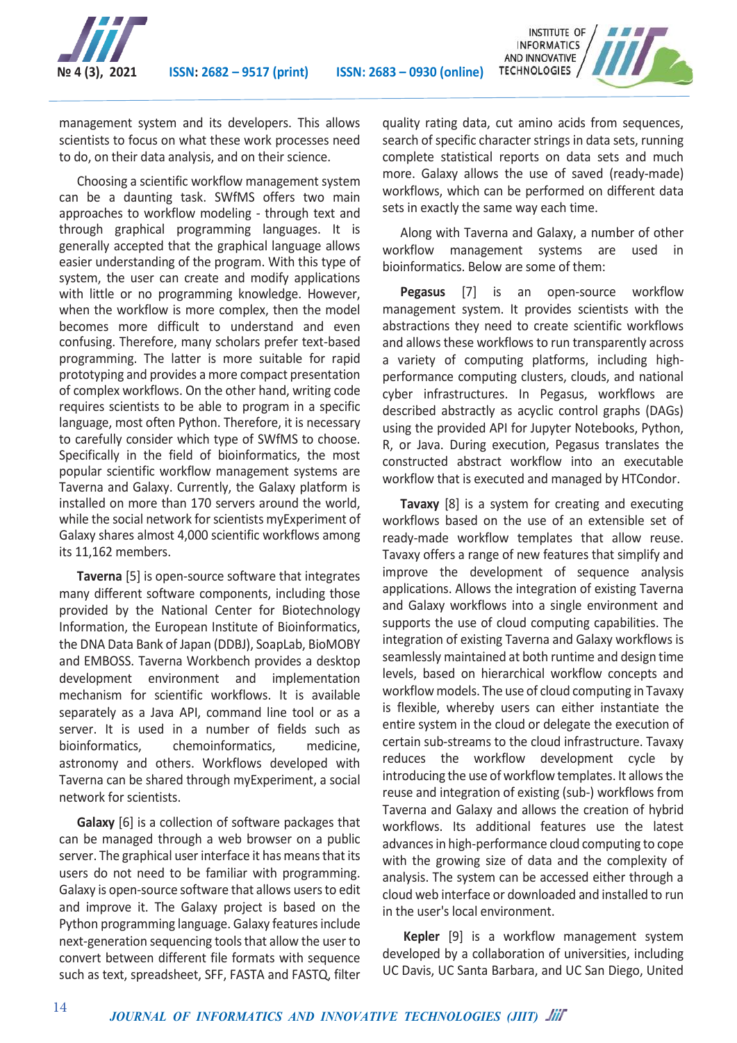



management system and its developers. This allows scientists to focus on what these work processes need to do, on their data analysis, and on their science.

Choosing a scientific workflow management system can be a daunting task. SWfMS offers two main approaches to workflow modeling - through text and through graphical programming languages. It is generally accepted that the graphical language allows easier understanding of the program. With this type of system, the user can create and modify applications with little or no programming knowledge. However, when the workflow is more complex, then the model becomes more difficult to understand and even confusing. Therefore, many scholars prefer text-based programming. The latter is more suitable for rapid prototyping and provides a more compact presentation of complex workflows. On the other hand, writing code requires scientists to be able to program in a specific language, most often Python. Therefore, it is necessary to carefully consider which type of SWfMS to choose. Specifically in the field of bioinformatics, the most popular scientific workflow management systems are Taverna and Galaxy. Currently, the Galaxy platform is installed on more than 170 servers around the world, while the social network for scientists myExperiment of Galaxy shares almost 4,000 scientific workflows among its 11,162 members.

**Taverna** [5] is open-source software that integrates many different software components, including those provided by the National Center for Biotechnology Information, the European Institute of Bioinformatics, the DNA Data Bank of Japan (DDBJ), SoapLab, BioMOBY and EMBOSS. Taverna Workbench provides a desktop development environment and implementation mechanism for scientific workflows. It is available separately as a Java API, command line tool or as a server. It is used in a number of fields such as bioinformatics, chemoinformatics, medicine, astronomy and others. Workflows developed with Taverna can be shared through myExperiment, a social network for scientists.

**Galaxy** [6] is a collection of software packages that can be managed through a web browser on a public server. The graphical user interface it has means that its users do not need to be familiar with programming. Galaxy is open-source software that allows users to edit and improve it. The Galaxy project is based on the Python programming language. Galaxy features include next-generation sequencing tools that allow the user to convert between different file formats with sequence such as text, spreadsheet, SFF, FASTA and FASTQ, filter

14

quality rating data, cut amino acids from sequences, search of specific character strings in data sets, running complete statistical reports on data sets and much more. Galaxy allows the use of saved (ready-made) workflows, which can be performed on different data sets in exactly the same way each time.

Along with Taverna and Galaxy, a number of other workflow management systems are used in bioinformatics. Below are some of them:

**Pegasus** [7] is an open-source workflow management system. It provides scientists with the abstractions they need to create scientific workflows and allows these workflows to run transparently across a variety of computing platforms, including highperformance computing clusters, clouds, and national cyber infrastructures. In Pegasus, workflows are described abstractly as acyclic control graphs (DAGs) using the provided API for Jupyter Notebooks, Python, R, or Java. During execution, Pegasus translates the constructed abstract workflow into an executable workflow that is executed and managed by HTCondor.

**Tavaxy** [8] is a system for creating and executing workflows based on the use of an extensible set of ready-made workflow templates that allow reuse. Tavaxy offers a range of new features that simplify and improve the development of sequence analysis applications. Allows the integration of existing Taverna and Galaxy workflows into a single environment and supports the use of cloud computing capabilities. The integration of existing Taverna and Galaxy workflows is seamlessly maintained at both runtime and design time levels, based on hierarchical workflow concepts and workflow models. The use of cloud computing in Tavaxy is flexible, whereby users can either instantiate the entire system in the cloud or delegate the execution of certain sub-streams to the cloud infrastructure. Tavaxy reduces the workflow development cycle by introducing the use of workflow templates. It allows the reuse and integration of existing (sub-) workflows from Taverna and Galaxy and allows the creation of hybrid workflows. Its additional features use the latest advances in high-performance cloud computing to cope with the growing size of data and the complexity of analysis. The system can be accessed either through a cloud web interface or downloaded and installed to run in the user's local environment.

**Kepler** [9] is a workflow management system developed by a collaboration of universities, including UC Davis, UC Santa Barbara, and UC San Diego, United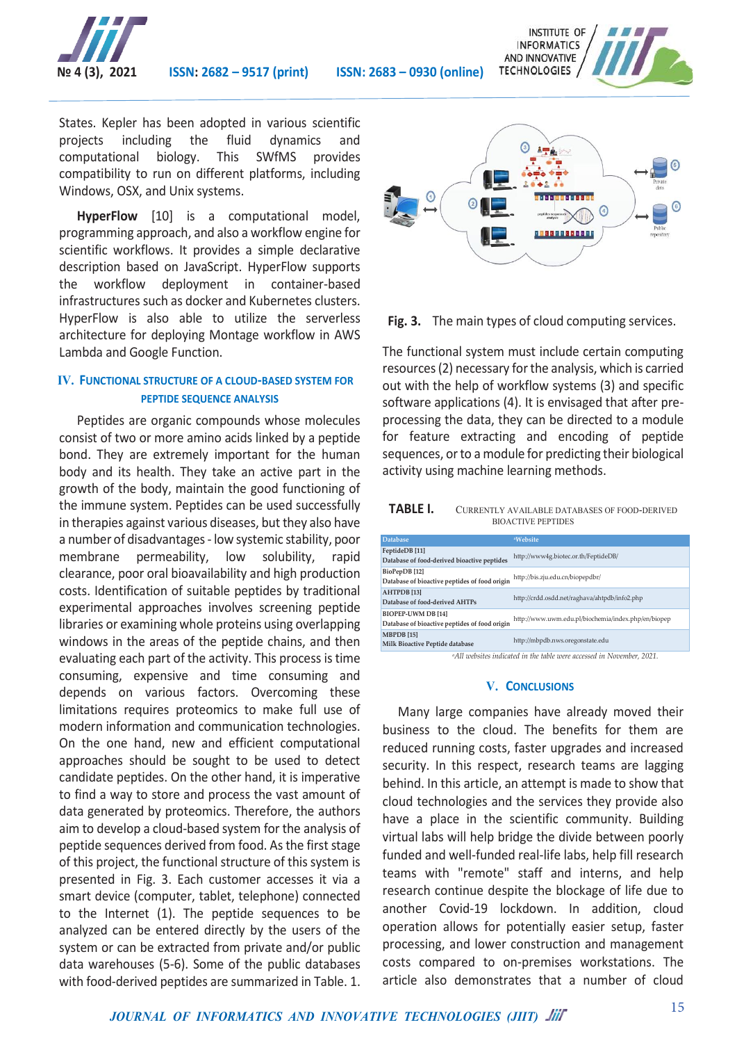



States. Kepler has been adopted in various scientific projects including the fluid dynamics and computational biology. This SWfMS provides compatibility to run on different platforms, including Windows, OSX, and Unix systems.

**HyperFlow** [10] is a computational model, programming approach, and also a workflow engine for scientific workflows. It provides a simple declarative description based on JavaScript. HyperFlow supports the workflow deployment in container-based infrastructures such as docker and Kubernetes clusters. HyperFlow is also able to utilize the serverless architecture for deploying Montage workflow in AWS Lambda and Google Function.

## **IV. FUNCTIONAL STRUCTURE OF A CLOUD-BASED SYSTEM FOR PEPTIDE SEQUENCE ANALYSIS**

Peptides are organic compounds whose molecules consist of two or more amino acids linked by a peptide bond. They are extremely important for the human body and its health. They take an active part in the growth of the body, maintain the good functioning of the immune system. Peptides can be used successfully in therapies against various diseases, but they also have a number of disadvantages - low systemic stability, poor membrane permeability, low solubility, rapid clearance, poor oral bioavailability and high production costs. Identification of suitable peptides by traditional experimental approaches involves screening peptide libraries or examining whole proteins using overlapping windows in the areas of the peptide chains, and then evaluating each part of the activity. This process is time consuming, expensive and time consuming and depends on various factors. Overcoming these limitations requires proteomics to make full use of modern information and communication technologies. On the one hand, new and efficient computational approaches should be sought to be used to detect candidate peptides. On the other hand, it is imperative to find a way to store and process the vast amount of data generated by proteomics. Therefore, the authors aim to develop a cloud-based system for the analysis of peptide sequences derived from food. As the first stage of this project, the functional structure of this system is presented in Fig. 3. Each customer accesses it via a smart device (computer, tablet, telephone) connected to the Internet (1). The peptide sequences to be analyzed can be entered directly by the users of the system or can be extracted from private and/or public data warehouses (5-6). Some of the public databases with food-derived peptides are summarized in Table. 1.



**Fig. 3.** The main types of cloud computing services.

The functional system must include certain computing resources (2) necessary for the analysis, which is carried out with the help of workflow systems (3) and specific software applications (4). It is envisaged that after preprocessing the data, they can be directed to a module for feature extracting and encoding of peptide sequences, or to a module for predicting their biological activity using machine learning methods.

| <b>TABLE I.</b> | CURRENTLY AVAILABLE DATABASES OF FOOD-DERIVED |
|-----------------|-----------------------------------------------|
|                 | <b>BIOACTIVE PEPTIDES</b>                     |

| <b>Database</b>                                                     | <sup>a</sup> Website                                |
|---------------------------------------------------------------------|-----------------------------------------------------|
| FeptideDB [11]<br>Database of food-derived bioactive peptides       | http://www4g.biotec.or.th/FeptideDB/                |
| BioPepDB [12]<br>Database of bioactive peptides of food origin      | http://bis.zju.edu.cn/biopepdbr/                    |
| <b>AHTPDB</b> [13]<br>Database of food-derived AHTPs                | http://crdd.osdd.net/raghava/ahtpdb/info2.php       |
| BIOPEP-UWM DB [14]<br>Database of bioactive peptides of food origin | http://www.uwm.edu.pl/biochemia/index.php/en/biopep |
| <b>MBPDB</b> [15]<br>Milk Bioactive Peptide database                | http://mbpdb.nws.oregonstate.edu                    |

*a All websites indicated in the table were accessed in November, 2021.*

## **V. CONCLUSIONS**

 Many large companies have already moved their business to the cloud. The benefits for them are reduced running costs, faster upgrades and increased security. In this respect, research teams are lagging behind. In this article, an attempt is made to show that cloud technologies and the services they provide also have a place in the scientific community. Building virtual labs will help bridge the divide between poorly funded and well-funded real-life labs, help fill research teams with "remote" staff and interns, and help research continue despite the blockage of life due to another Covid-19 lockdown. In addition, cloud operation allows for potentially easier setup, faster processing, and lower construction and management costs compared to on-premises workstations. The article also demonstrates that a number of cloud